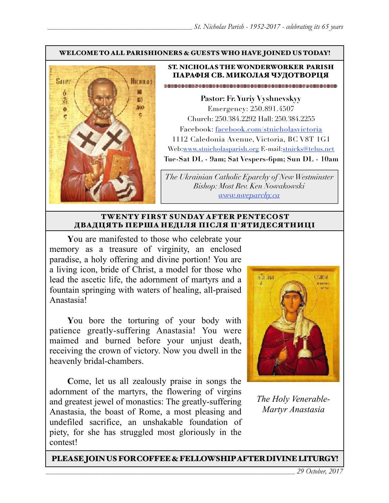### WELCOME TO ALL PARISHIONERS & GUESTS WHO HAVE JOINED US TODAY!



## ST. NICHOLAS THE WONDERWORKER PARISH ПАРАФІЯ СВ. МИКОЛАЯ ЧУДОТВОРЦЯ

**Pastor: Fr. Yuriy Vyshnevskyy** Emergency: 250.891.4507 Church: 250.384.2292 Hall: 250.384.2255 Facebook: facebook.com/stnicholasvictoria 1112 Caledonia Avenue, Victoria, BC V8T 1G1 Web[:www.stnicholasparish.org](http://www.stnicholasparish.org) E-mail:[stnicks@telus.net](mailto:stnicks@telus.net) **Tue-Sat DL - 9am; Sat Vespers-6pm; Sun DL - 10am**

*The Ukrainian Catholic Eparchy of New Westminster Bishop: Most Rev. Ken Nowakowski [www.nweparchy.ca](http://www.nweparchy.ca)*

### TWENTY FIRST SUNDAY AFTER PENTECOST ДВАДЦЯТЬ ПЕРША НЕДІЛЯ ПІСЛЯ П**'**ЯТИДЕСЯТНИЦІ

**Y**ou are manifested to those who celebrate your memory as a treasure of virginity, an enclosed paradise, a holy offering and divine portion! You are a living icon, bride of Christ, a model for those who lead the ascetic life, the adornment of martyrs and a fountain springing with waters of healing, all-praised Anastasia!

**Y**ou bore the torturing of your body with patience greatly-suffering Anastasia! You were maimed and burned before your unjust death, receiving the crown of victory. Now you dwell in the heavenly bridal-chambers.

**C**ome, let us all zealously praise in songs the adornment of the martyrs, the flowering of virgins and greatest jewel of monastics: The greatly-suffering Anastasia, the boast of Rome, a most pleasing and undefiled sacrifice, an unshakable foundation of piety, for she has struggled most gloriously in the contest!



*The Holy Venerable-Martyr Anastasia*

## PLEASE JOIN US FOR COFFEE & FELLOWSHIP AFTER DIVINE LITURGY!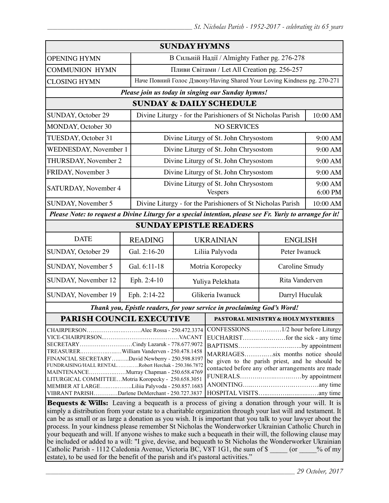| <b>SUNDAY HYMNS</b>                                                                                                                                                                                                                                                                                                                                                                                                                                                                                                                                         |                |                                                                         |                                                                                                                                                                                              |                                                         |          |  |  |
|-------------------------------------------------------------------------------------------------------------------------------------------------------------------------------------------------------------------------------------------------------------------------------------------------------------------------------------------------------------------------------------------------------------------------------------------------------------------------------------------------------------------------------------------------------------|----------------|-------------------------------------------------------------------------|----------------------------------------------------------------------------------------------------------------------------------------------------------------------------------------------|---------------------------------------------------------|----------|--|--|
| <b>OPENING HYMN</b>                                                                                                                                                                                                                                                                                                                                                                                                                                                                                                                                         |                | В Сильній Надії / Almighty Father pg. 276-278                           |                                                                                                                                                                                              |                                                         |          |  |  |
| <b>COMMUNION HYMN</b>                                                                                                                                                                                                                                                                                                                                                                                                                                                                                                                                       |                | Пливи Світами / Let All Creation pg. 256-257                            |                                                                                                                                                                                              |                                                         |          |  |  |
| <b>CLOSING HYMN</b>                                                                                                                                                                                                                                                                                                                                                                                                                                                                                                                                         |                | Наче Повний Голос Дзвону/Having Shared Your Loving Kindness pg. 270-271 |                                                                                                                                                                                              |                                                         |          |  |  |
| Please join us today in singing our Sunday hymns!                                                                                                                                                                                                                                                                                                                                                                                                                                                                                                           |                |                                                                         |                                                                                                                                                                                              |                                                         |          |  |  |
| <b>SUNDAY &amp; DAILY SCHEDULE</b>                                                                                                                                                                                                                                                                                                                                                                                                                                                                                                                          |                |                                                                         |                                                                                                                                                                                              |                                                         |          |  |  |
| SUNDAY, October 29                                                                                                                                                                                                                                                                                                                                                                                                                                                                                                                                          |                | Divine Liturgy - for the Parishioners of St Nicholas Parish             |                                                                                                                                                                                              |                                                         | 10:00 AM |  |  |
| MONDAY, October 30                                                                                                                                                                                                                                                                                                                                                                                                                                                                                                                                          |                | <b>NO SERVICES</b>                                                      |                                                                                                                                                                                              |                                                         |          |  |  |
| TUESDAY, October 31                                                                                                                                                                                                                                                                                                                                                                                                                                                                                                                                         |                | Divine Liturgy of St. John Chrysostom                                   |                                                                                                                                                                                              |                                                         | 9:00 AM  |  |  |
| <b>WEDNESDAY, November 1</b>                                                                                                                                                                                                                                                                                                                                                                                                                                                                                                                                |                | Divine Liturgy of St. John Chrysostom                                   |                                                                                                                                                                                              |                                                         | 9:00 AM  |  |  |
| THURSDAY, November 2                                                                                                                                                                                                                                                                                                                                                                                                                                                                                                                                        |                | Divine Liturgy of St. John Chrysostom                                   |                                                                                                                                                                                              |                                                         | 9:00 AM  |  |  |
| FRIDAY, November 3                                                                                                                                                                                                                                                                                                                                                                                                                                                                                                                                          |                | Divine Liturgy of St. John Chrysostom                                   |                                                                                                                                                                                              |                                                         | 9:00 AM  |  |  |
| SATURDAY, November 4                                                                                                                                                                                                                                                                                                                                                                                                                                                                                                                                        |                |                                                                         |                                                                                                                                                                                              | Divine Liturgy of St. John Chrysostom<br><b>Vespers</b> |          |  |  |
| SUNDAY, November 5                                                                                                                                                                                                                                                                                                                                                                                                                                                                                                                                          |                | Divine Liturgy - for the Parishioners of St Nicholas Parish             |                                                                                                                                                                                              | 10:00 AM                                                |          |  |  |
| Please Note: to request a Divine Liturgy for a special intention, please see Fr. Yuriy to arrange for it!                                                                                                                                                                                                                                                                                                                                                                                                                                                   |                |                                                                         |                                                                                                                                                                                              |                                                         |          |  |  |
|                                                                                                                                                                                                                                                                                                                                                                                                                                                                                                                                                             |                |                                                                         | <b>SUNDAY EPISTLE READERS</b>                                                                                                                                                                |                                                         |          |  |  |
| <b>DATE</b>                                                                                                                                                                                                                                                                                                                                                                                                                                                                                                                                                 | <b>READING</b> |                                                                         | <b>UKRAINIAN</b>                                                                                                                                                                             | <b>ENGLISH</b>                                          |          |  |  |
| SUNDAY, October 29                                                                                                                                                                                                                                                                                                                                                                                                                                                                                                                                          | Gal. 2:16-20   |                                                                         | Liliia Palyvoda                                                                                                                                                                              | Peter Iwanuck                                           |          |  |  |
| SUNDAY, November 5                                                                                                                                                                                                                                                                                                                                                                                                                                                                                                                                          | Gal. 6:11-18   | Motria Koropecky<br>Caroline Smudy                                      |                                                                                                                                                                                              |                                                         |          |  |  |
| SUNDAY, November 12                                                                                                                                                                                                                                                                                                                                                                                                                                                                                                                                         | Eph. 2:4-10    | Rita Vanderven<br>Yuliya Pelekhata                                      |                                                                                                                                                                                              |                                                         |          |  |  |
| SUNDAY, November 19                                                                                                                                                                                                                                                                                                                                                                                                                                                                                                                                         | Eph. 2:14-22   | Glikeria Iwanuck<br>Darryl Huculak                                      |                                                                                                                                                                                              |                                                         |          |  |  |
| Thank you, Epistle readers, for your service in proclaiming God's Word!                                                                                                                                                                                                                                                                                                                                                                                                                                                                                     |                |                                                                         |                                                                                                                                                                                              |                                                         |          |  |  |
| PARISH COUNCIL EXECUTIVE                                                                                                                                                                                                                                                                                                                                                                                                                                                                                                                                    |                |                                                                         | PASTORAL MINISTRY & HOLY MYSTERIES                                                                                                                                                           |                                                         |          |  |  |
| CHAIRPERSONAlec Rossa - 250.472.3374<br>SECRETARYCindy Lazaruk - 778.677.9072<br>TREASURERWilliam Vanderven - 250.478.1458<br>FINANCIAL SECRETARYDavid Newberry - 250.598.8197<br>FUNDRAISING/HALL RENTALRobert Herchak - 250.386.7872<br>MAINTENANCEMurray Chapman - 250.658.4769<br>LITURGICAL COMMITTEEMotria Koropecky - 250.658.3051<br>MEMBER AT LARGELiliia Palyvoda - 250.857.1683<br>VIBRANT PARISHDarlene DeMerchant - 250.727.3837<br><b>Requires &amp; Wille</b> : Leaving a bequeath is a process of giving a donation through your will It is |                |                                                                         | BAPTISMSby appointment<br>MARRIAGESsix months notice should<br>be given to the parish priest, and he should be<br>contacted before any other arrangements are made<br>FUNERALSby appointment |                                                         |          |  |  |

Bequests & Wills: Leaving a bequeath is a process of giving a donation through your will. It is simply a distribution from your estate to a charitable organization through your last will and testament. It can be as small or as large a donation as you wish. It is important that you talk to your lawyer about the process. In your kindness please remember St Nicholas the Wonderworker Ukrainian Catholic Church in your bequeath and will. If anyone wishes to make such a bequeath in their will, the following clause may be included or added to a will: "I give, devise, and bequeath to St Nicholas the Wonderworker Ukrainian Catholic Parish - 1112 Caledonia Avenue, Victoria BC, V8T 1G1, the sum of \$  $\qquad \qquad$  (or  $\qquad \qquad$  % of my estate), to be used for the benefit of the parish and it's pastoral activities."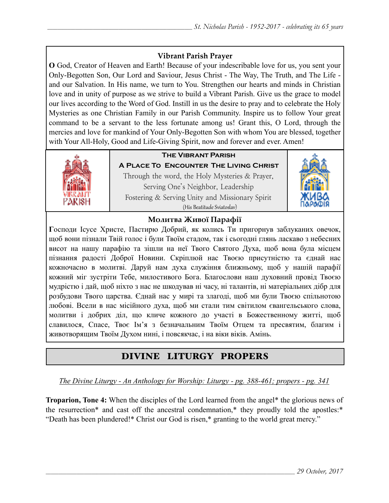## **Vibrant Parish Prayer**

**O** God, Creator of Heaven and Earth! Because of your indescribable love for us, you sent your Only-Begotten Son, Our Lord and Saviour, Jesus Christ - The Way, The Truth, and The Life and our Salvation. In His name, we turn to You. Strengthen our hearts and minds in Christian love and in unity of purpose as we strive to build a Vibrant Parish. Give us the grace to model our lives according to the Word of God. Instill in us the desire to pray and to celebrate the Holy Mysteries as one Christian Family in our Parish Community. Inspire us to follow Your great command to be a servant to the less fortunate among us! Grant this, O Lord, through the mercies and love for mankind of Your Only-Begotten Son with whom You are blessed, together with Your All-Holy, Good and Life-Giving Spirit, now and forever and ever. Amen!



# **The Vibrant Parish**

**A Place To Encounter The Living Christ** Through the word, the Holy Mysteries & Prayer, Serving One's Neighbor, Leadership Fostering & Serving Unity and Missionary Spirit (His Beatitude Sviatoslav)



## **Молитва Живої Парафії**

**Г**осподи Ісусе Христе, Пастирю Добрий, як колись Ти пригорнув заблуканих овечок, щоб вони пізнали Твій голос і були Твоїм стадом, так і сьогодні глянь ласкаво з небесних висот на нашу парафію та зішли на неї Твого Святого Духа, щоб вона була місцем пізнання радості Доброї Новини. Скріплюй нас Твоєю присутністю та єднай нас кожночасно в молитві. Даруй нам духа служіння ближньому, щоб у нашій парафії кожний міг зустріти Тебе, милостивого Бога. Благослови наш духовний провід Твоєю мудрістю і дай, щоб ніхто з нас не шкодував ні часу, ні талантів, ні матеріальних дібр для розбудови Твого царства. Єднай нас у мирі та злагоді, щоб ми були Твоєю спільнотою любові. Всели в нас місійного духа, щоб ми стали тим світилом євангельського слова, молитви і добрих діл, що кличе кожного до участі в Божественному житті, щоб славилося, Спасе, Твоє Ім'я з безначальним Твоїм Отцем та пресвятим, благим і животворящим Твоїм Духом нині, і повсякчас, і на віки віків. Амінь.

# DIVINE LITURGY PROPERS

*The Divine Liturgy - An Anthology for Worship: Liturgy - pg. 388-461; propers - pg. 341* 

**Troparion, Tone 4:** When the disciples of the Lord learned from the angel\* the glorious news of the resurrection\* and cast off the ancestral condemnation,\* they proudly told the apostles:\* "Death has been plundered!\* Christ our God is risen,\* granting to the world great mercy."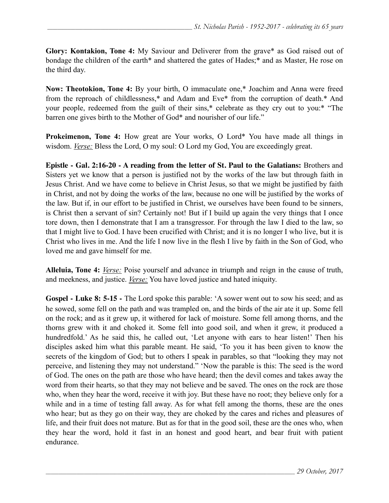**Glory: Kontakion, Tone 4:** My Saviour and Deliverer from the grave\* as God raised out of bondage the children of the earth\* and shattered the gates of Hades;\* and as Master, He rose on the third day.

**Now: Theotokion, Tone 4:** By your birth, O immaculate one,\* Joachim and Anna were freed from the reproach of childlessness,\* and Adam and Eve\* from the corruption of death.\* And your people, redeemed from the guilt of their sins,\* celebrate as they cry out to you:\* "The barren one gives birth to the Mother of God\* and nourisher of our life."

**Prokeimenon, Tone 4:** How great are Your works, O Lord\* You have made all things in wisdom. *Verse:* Bless the Lord, O my soul: O Lord my God, You are exceedingly great.

**Epistle - Gal. 2:16-20 - A reading from the letter of St. Paul to the Galatians:** Brothers and Sisters yet we know that a person is justified not by the works of the law but through faith in Jesus Christ. And we have come to believe in Christ Jesus, so that we might be justified by faith in Christ, and not by doing the works of the law, because no one will be justified by the works of the law. But if, in our effort to be justified in Christ, we ourselves have been found to be sinners, is Christ then a servant of sin? Certainly not! But if I build up again the very things that I once tore down, then I demonstrate that I am a transgressor. For through the law I died to the law, so that I might live to God. I have been crucified with Christ; and it is no longer I who live, but it is Christ who lives in me. And the life I now live in the flesh I live by faith in the Son of God, who loved me and gave himself for me.

**Alleluia, Tone 4:** *Verse:* Poise yourself and advance in triumph and reign in the cause of truth, and meekness, and justice. *Verse:* You have loved justice and hated iniquity.

**Gospel - Luke 8: 5-15 -** The Lord spoke this parable: 'A sower went out to sow his seed; and as he sowed, some fell on the path and was trampled on, and the birds of the air ate it up. Some fell on the rock; and as it grew up, it withered for lack of moisture. Some fell among thorns, and the thorns grew with it and choked it. Some fell into good soil, and when it grew, it produced a hundredfold.' As he said this, he called out, 'Let anyone with ears to hear listen!' Then his disciples asked him what this parable meant. He said, 'To you it has been given to know the secrets of the kingdom of God; but to others I speak in parables, so that "looking they may not perceive, and listening they may not understand." 'Now the parable is this: The seed is the word of God. The ones on the path are those who have heard; then the devil comes and takes away the word from their hearts, so that they may not believe and be saved. The ones on the rock are those who, when they hear the word, receive it with joy. But these have no root; they believe only for a while and in a time of testing fall away. As for what fell among the thorns, these are the ones who hear; but as they go on their way, they are choked by the cares and riches and pleasures of life, and their fruit does not mature. But as for that in the good soil, these are the ones who, when they hear the word, hold it fast in an honest and good heart, and bear fruit with patient endurance.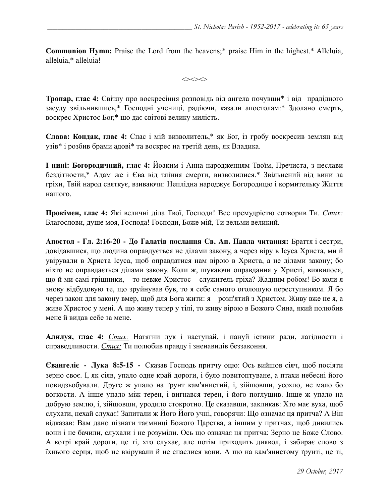**Communion Hymn:** Praise the Lord from the heavens;\* praise Him in the highest.\* Alleluia, alleluia,\* alleluia!

 $\iff$ 

**Тропар, глас 4:** Світлу про воскресіння розповідь від ангела почувши\* і від прадідного засуду звільнившись,\* Господні учениці, радіючи, казали апостолам:\* Здолано смерть, воскрес Христос Бог,\* що дає світові велику милість.

**Слава: Кондак, глас 4:** Спас і мій визволитель,\* як Бог, із гробу воскресив землян від узів\* і розбив брами адові\* та воскрес на третій день, як Владика.

**І нині: Богородичний, глас 4:** Йоаким і Анна народженням Твоїм, Пречиста, з неслави бездітности,\* Адам же і Єва від тління смерти, визволилися.\* Звільнений від вини за гріхи, Твій народ святкує, взиваючи: Неплідна народжує Богородицю і кормительку Життя нашого.

**Прокімен, глас 4:** Які величні діла Твої, Господи! Все премудрістю сотворив Ти. *Стих:* Благослови, душе моя, Господа! Господи, Боже мій, Ти вельми великий.

**Апостол - Гл. 2:16-20 - До Галатів послання Св. Ап. Павла читання:** Браття і сестри, довідавшися, що людина оправдується не ділами закону, а через віру в Ісуса Христа, ми й увірували в Христа Ісуса, щоб оправдатися нам вірою в Христа, а не ділами закону; бо ніхто не оправдається ділами закону. Коли ж, шукаючи оправдання у Христі, виявилося, що й ми самі грішники, – то невже Христос – служитель гріха? Жадним робом! Бо коли я знову відбудовую те, що зруйнував був, то я себе самого оголошую переступником. Я бо через закон для закону вмер, щоб для Бога жити: я – розп'ятий з Христом. Живу вже не я, а живе Христос у мені. А що живу тепер у тілі, то живу вірою в Божого Сина, який полюбив мене й видав себе за мене.

**Алилуя, глас 4:** *Стих:* Натягни лук і наступай, і пануй істини ради, лагідности і справедливости. *Стих:* Ти полюбив правду і зненавидів беззаконня.

**Євангеліє - Лука 8:5-15 -** Сказав Господь притчу оцю: Ось вийшов сіяч, щоб посіяти зерно своє. І, як сіяв, упало одне край дороги, і було повитоптуване, а птахи небесні його повидзьобували. Друге ж упало на ґрунт кам'янистий, і, зійшовши, усохло, не мало бо вогкости. А інше упало між терен, і вигнався терен, і його поглушив. Інше ж упало на добрую землю, і, зійшовши, уродило стокротно. Це сказавши, закликав: Хто має вуха, щоб слухати, нехай слухає! Запитали ж Його Його учні, говорячи: Що означає ця притча? А Він відказав: Вам дано пізнати таємниці Божого Царства, а іншим у притчах, щоб дивились вони і не бачили, слухали і не розуміли. Ось що означає ця притча: Зерно це Боже Слово. А котрі край дороги, це ті, хто слухає, але потім приходить диявол, і забирає слово з їхнього серця, щоб не ввірували й не спаслися вони. А що на кам'янистому ґрунті, це ті,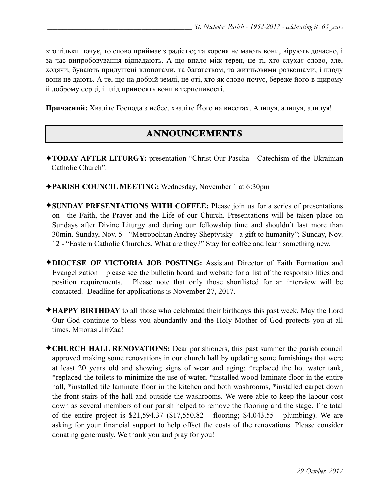хто тільки почує, то слово приймає з радістю; та кореня не мають вони, вірують дочасно, і за час випробовування відпадають. А що впало між терен, це ті, хто слухає слово, але, ходячи, бувають придушені клопотами, та багатством, та життьовими розкошами, і плоду вони не дають. А те, що на добрій землі, це оті, хто як слово почує, береже його в щирому й доброму серці, і плід приносять вони в терпеливості.

**Причасний:** Хваліте Господа з небес, хваліте Його на висотах. Алилуя, алилуя, алилуя!

# ANNOUNCEMENTS

- ✦**TODAY AFTER LITURGY:** presentation "Christ Our Pascha Catechism of the Ukrainian Catholic Church".
- ✦**PARISH COUNCIL MEETING:** Wednesday, November 1 at 6:30pm
- ✦**SUNDAY PRESENTATIONS WITH COFFEE:** Please join us for a series of presentations on the Faith, the Prayer and the Life of our Church. Presentations will be taken place on Sundays after Divine Liturgy and during our fellowship time and shouldn't last more than 30min. Sunday, Nov. 5 - "Metropolitan Andrey Sheptytsky - a gift to humanity"; Sunday, Nov. 12 - "Eastern Catholic Churches. What are they?" Stay for coffee and learn something new.
- ✦**DIOCESE OF VICTORIA JOB POSTING:** Assistant Director of Faith Formation and Evangelization – please see the bulletin board and website for a list of the responsibilities and position requirements. Please note that only those shortlisted for an interview will be contacted. Deadline for applications is November 27, 2017.
- ✦**HAPPY BIRTHDAY** to all those who celebrated their birthdays this past week. May the Lord Our God continue to bless you abundantly and the Holy Mother of God protects you at all times. Многая ЛітZaа!
- ✦**CHURCH HALL RENOVATIONS:** Dear parishioners, this past summer the parish council approved making some renovations in our church hall by updating some furnishings that were at least 20 years old and showing signs of wear and aging: \*replaced the hot water tank, \*replaced the toilets to minimize the use of water, \*installed wood laminate floor in the entire hall, \*installed tile laminate floor in the kitchen and both washrooms, \*installed carpet down the front stairs of the hall and outside the washrooms. We were able to keep the labour cost down as several members of our parish helped to remove the flooring and the stage. The total of the entire project is \$21,594.37 (\$17,550.82 - flooring; \$4,043.55 - plumbing). We are asking for your financial support to help offset the costs of the renovations. Please consider donating generously. We thank you and pray for you!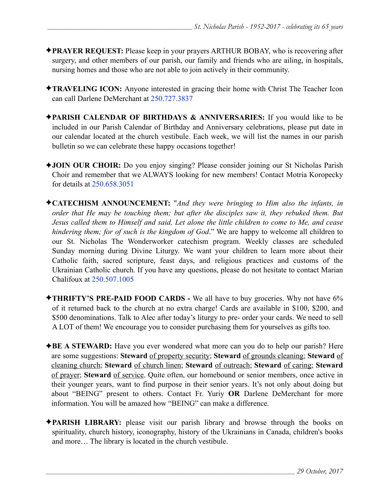- ✦**PRAYER REQUEST:** Please keep in your prayers ARTHUR BOBAY, who is recovering after surgery, and other members of our parish, our family and friends who are ailing, in hospitals, nursing homes and those who are not able to join actively in their community.
- ✦**TRAVELING ICON:** Anyone interested in gracing their home with Christ The Teacher Icon can call Darlene DeMerchant at 250.727.3837
- ✦**PARISH CALENDAR OF BIRTHDAYS & ANNIVERSARIES:** If you would like to be included in our Parish Calendar of Birthday and Anniversary celebrations, please put date in our calendar located at the church vestibule. Each week, we will list the names in our parish bulletin so we can celebrate these happy occasions together!
- ✦**JOIN OUR CHOIR:** Do you enjoy singing? Please consider joining our St Nicholas Parish Choir and remember that we ALWAYS looking for new members! Contact Motria Koropecky for details at 250.658.3051
- ✦**CATECHISM ANNOUNCEMENT:** "*And they were bringing to Him also the infants, in order that He may be touching them; but after the disciples saw it, they rebuked them. But Jesus called them to Himself and said, Let alone the little children to come to Me, and cease hindering them; for of such is the kingdom of God*." We are happy to welcome all children to our St. Nicholas The Wonderworker catechism program. Weekly classes are scheduled Sunday morning during Divine Liturgy. We want your children to learn more about their Catholic faith, sacred scripture, feast days, and religious practices and customs of the Ukrainian Catholic church. If you have any questions, please do not hesitate to contact Marian Chalifoux at 250.507.1005
- ✦**THRIFTY'S PRE-PAID FOOD CARDS** We all have to buy groceries. Why not have 6% of it returned back to the church at no extra charge! Cards are available in \$100, \$200, and \$500 denominations. Talk to Alec after today's liturgy to pre- order your cards. We need to sell A LOT of them! We encourage you to consider purchasing them for yourselves as gifts too.
- ✦**BE A STEWARD:** Have you ever wondered what more can you do to help our parish? Here are some suggestions: **Steward** of property security; **Steward** of grounds cleaning; **Steward** of cleaning church; **Steward** of church linen; **Steward** of outreach; **Steward** of caring; **Steward** of prayer; **Steward** of service. Quite often, our homebound or senior members, once active in their younger years, want to find purpose in their senior years. It's not only about doing but about "BEING" present to others. Contact Fr. Yuriy **OR** Darlene DeMerchant for more information. You will be amazed how "BEING" can make a difference.
- ✦**PARISH LIBRARY:** please visit our parish library and browse through the books on spirituality, church history, iconography, history of the Ukrainians in Canada, children's books and more… The library is located in the church vestibule.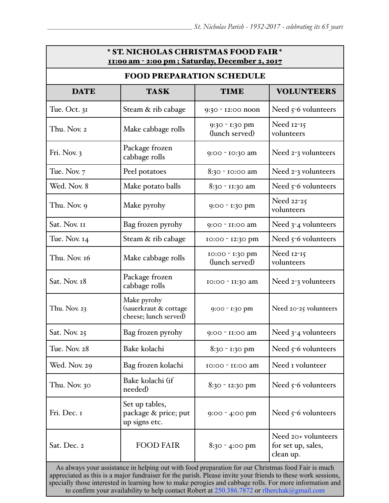| <b>TASK</b>                                                   |                                   |                                                                                                    |  |  |  |  |  |  |
|---------------------------------------------------------------|-----------------------------------|----------------------------------------------------------------------------------------------------|--|--|--|--|--|--|
|                                                               |                                   | <b>FOOD PREPARATION SCHEDULE</b>                                                                   |  |  |  |  |  |  |
|                                                               | <b>TIME</b>                       | <b>VOLUNTEERS</b>                                                                                  |  |  |  |  |  |  |
| Steam & rib cabage                                            | 9:30 - 12:00 noon                 | Need $5-6$ volunteers                                                                              |  |  |  |  |  |  |
| Make cabbage rolls                                            | 9:30 - 1:30 pm<br>(lunch served)  | Need 12-15<br>volunteers                                                                           |  |  |  |  |  |  |
| Package frozen<br>cabbage rolls                               | 9:00 - 10:30 am                   | Need 2-3 volunteers                                                                                |  |  |  |  |  |  |
| Peel potatoes                                                 | 8:30 - 10:00 am                   | Need 2-3 volunteers                                                                                |  |  |  |  |  |  |
| Make potato balls                                             | 8:30 - 11:30 am                   | Need $5-6$ volunteers                                                                              |  |  |  |  |  |  |
| Make pyrohy                                                   | 9:00 - 1:30 pm                    | Need 22-25<br>volunteers                                                                           |  |  |  |  |  |  |
| Bag frozen pyrohy                                             | 9:00 - II:00 am                   | Need 3-4 volunteers                                                                                |  |  |  |  |  |  |
| Steam & rib cabage                                            | 10:00 - 12:30 pm                  | Need $5-6$ volunteers                                                                              |  |  |  |  |  |  |
| Make cabbage rolls                                            | 10:00 - 1:30 pm<br>(lunch served) | Need 12-15<br>volunteers                                                                           |  |  |  |  |  |  |
| Package frozen<br>cabbage rolls                               | 10:00 - 11:30 am                  | Need 2-3 volunteers                                                                                |  |  |  |  |  |  |
| Make pyrohy<br>(sauerkraut & cottage<br>cheese; lunch served) | 9:00 - 1:30 pm                    | Need 20-25 volunteers                                                                              |  |  |  |  |  |  |
| Bag frozen pyrohy                                             | 9:00 - II:00 am                   | Need 3-4 volunteers                                                                                |  |  |  |  |  |  |
| Bake kolachi                                                  | 8:30 - 1:30 pm                    | Need 5-6 volunteers                                                                                |  |  |  |  |  |  |
| Bag frozen kolachi                                            | 10:00 - 11:00 am                  | Need I volunteer                                                                                   |  |  |  |  |  |  |
| Bake kolachi (if<br>needed)                                   | 8:30 - 12:30 pm                   | Need $5-6$ volunteers                                                                              |  |  |  |  |  |  |
| Set up tables,<br>package & price; put<br>up signs etc.       | $9:00 - 4:00$ pm                  | Need $5-6$ volunteers                                                                              |  |  |  |  |  |  |
| <b>FOOD FAIR</b>                                              | $8:30 - 4:00$ pm                  | Need 20+ volunteers<br>for set up, sales,<br>clean up.                                             |  |  |  |  |  |  |
|                                                               |                                   | As always your assistance in helping out with food preparation for our Christmas food Fair is much |  |  |  |  |  |  |

As always your assistance in helping out with food preparation for our Christmas food Fair is much<br>approximated as this is a major fundration for the parish. Please in the your friends to these work assistance appreciated as this is a major fundraiser for the parish. Please invite your friends to these work sessions, specially those interested in learning how to make perogies and cabbage rolls. For more information and to confirm your availability to help contact Robert at 250.386.7872 or [rlherchak@gmail.com](mailto:rlherchak@gmail.com)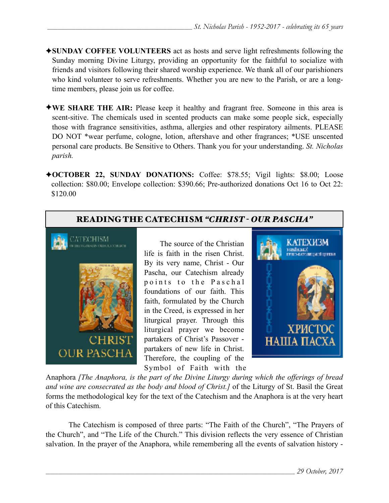- ✦**SUNDAY COFFEE VOLUNTEERS** act as hosts and serve light refreshments following the Sunday morning Divine Liturgy, providing an opportunity for the faithful to socialize with friends and visitors following their shared worship experience. We thank all of our parishioners who kind volunteer to serve refreshments. Whether you are new to the Parish, or are a longtime members, please join us for coffee.
- ✦**WE SHARE THE AIR:** Please keep it healthy and fragrant free. Someone in this area is scent-sitive. The chemicals used in scented products can make some people sick, especially those with fragrance sensitivities, asthma, allergies and other respiratory ailments. PLEASE DO NOT \*wear perfume, cologne, lotion, aftershave and other fragrances; \*USE unscented personal care products. Be Sensitive to Others. Thank you for your understanding. *St. Nicholas parish.*
- ✦**OCTOBER 22, SUNDAY DONATIONS:** Coffee: \$78.55; Vigil lights: \$8.00; Loose collection: \$80.00; Envelope collection: \$390.66; Pre-authorized donations Oct 16 to Oct 22: \$120.00

# READING THE CATECHISM *"CHRIST - OUR PASCHA"*



 The source of the Christian life is faith in the risen Christ. By its very name, Christ - Our Pascha, our Catechism already points to the Paschal foundations of our faith. This faith, formulated by the Church in the Creed, is expressed in her liturgical prayer. Through this liturgical prayer we become partakers of Christ's Passover partakers of new life in Christ. Therefore, the coupling of the Symbol of Faith with the



Anaphora *[The Anaphora, is the part of the [Divine Liturgy](https://en.wikipedia.org/wiki/Divine_Liturgy) during which the offerings of bread and wine are consecrated as the body and blood of [Christ.](https://en.wikipedia.org/wiki/Jesus)]* of the Liturgy of St. Basil the Great forms the methodological key for the text of the Catechism and the Anaphora is at the very heart of this Catechism.

 The Catechism is composed of three parts: "The Faith of the Church", "The Prayers of the Church", and "The Life of the Church." This division reflects the very essence of Christian salvation. In the prayer of the Anaphora, while remembering all the events of salvation history -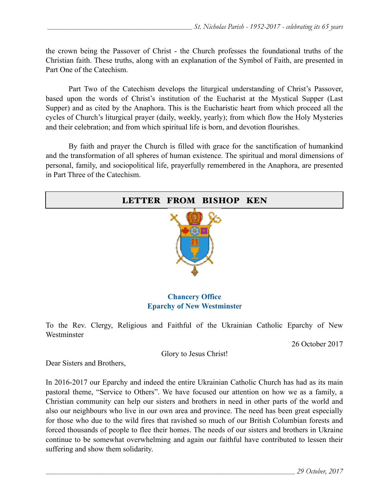the crown being the Passover of Christ - the Church professes the foundational truths of the Christian faith. These truths, along with an explanation of the Symbol of Faith, are presented in Part One of the Catechism.

Part Two of the Catechism develops the liturgical understanding of Christ's Passover, based upon the words of Christ's institution of the Eucharist at the Mystical Supper (Last Supper) and as cited by the Anaphora. This is the Eucharistic heart from which proceed all the cycles of Church's liturgical prayer (daily, weekly, yearly); from which flow the Holy Mysteries and their celebration; and from which spiritual life is born, and devotion flourishes.

 By faith and prayer the Church is filled with grace for the sanctification of humankind and the transformation of all spheres of human existence. The spiritual and moral dimensions of personal, family, and sociopolitical life, prayerfully remembered in the Anaphora, are presented in Part Three of the Catechism.

| LETTER FROM BISHOP KEN                  |
|-----------------------------------------|
|                                         |
| $C_{\text{beam}}$ $\Omega$ <sup>n</sup> |

#### **Chancery Office Eparchy of New Westminste**r

To the Rev. Clergy, Religious and Faithful of the Ukrainian Catholic Eparchy of New **Westminster** 

26 October 2017

Glory to Jesus Christ!

Dear Sisters and Brothers,

In 2016-2017 our Eparchy and indeed the entire Ukrainian Catholic Church has had as its main pastoral theme, "Service to Others". We have focused our attention on how we as a family, a Christian community can help our sisters and brothers in need in other parts of the world and also our neighbours who live in our own area and province. The need has been great especially for those who due to the wild fires that ravished so much of our British Columbian forests and forced thousands of people to flee their homes. The needs of our sisters and brothers in Ukraine continue to be somewhat overwhelming and again our faithful have contributed to lessen their suffering and show them solidarity.